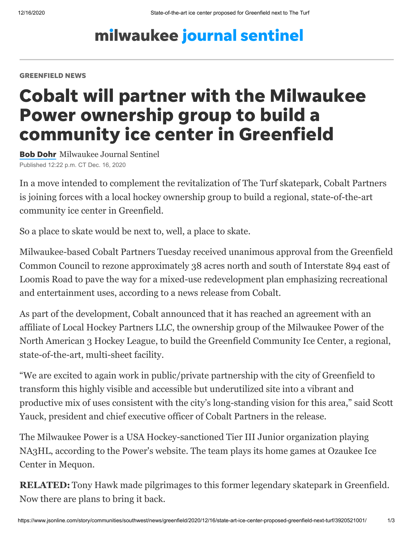## milwaukee journal sentinel

#### GREENFIELD NEWS

# Cobalt will partner with the Milwaukee Power ownership group to build a community ice center in Greenfield

Bob [Dohr](https://www.jsonline.com/staff/2646567001/bob-dohr/) Milwaukee Journal Sentinel Published 12:22 p.m. CT Dec. 16, 2020

In a move intended to complement the revitalization of The Turf skatepark, Cobalt Partners is joining forces with a local hockey ownership group to build a regional, state-of-the-art community ice center in Greenfield.

So a place to skate would be next to, well, a place to skate.

Milwaukee-based Cobalt Partners Tuesday received unanimous approval from the Greenfield Common Council to rezone approximately 38 acres north and south of Interstate 894 east of [Loomis Road to pave the way for a mixed-use redevelopment plan emphasizing recreational](https://www.jsonline.com/story/communities/southwest/news/greenfield/2020/11/11/proposed-greenfield-development-feature-hotel-entertainment-venue/6250874002/) and entertainment uses, according to a news release from Cobalt.

As part of the development, Cobalt announced that it has reached an agreement with an affiliate of Local Hockey Partners LLC, the ownership group of the Milwaukee Power of the North American 3 Hockey League, to build the Greenfield Community Ice Center, a regional, state-of-the-art, multi-sheet facility.

"We are excited to again work in public/private partnership with the city of Greenfield to transform this highly visible and accessible but underutilized site into a vibrant and productive mix of uses consistent with the city's long-standing vision for this area," said Scott Yauck, president and chief executive officer of Cobalt Partners in the release.

The Milwaukee Power is a USA Hockey-sanctioned Tier III Junior organization playing NA3HL, according to the Power's website. The team plays its home games at Ozaukee Ice Center in Mequon.

**RELATED:** [Tony Hawk made pilgrimages to this former legendary skatepark in Greenfield.](https://www.jsonline.com/story/communities/southwest/news/greenfield/2019/06/20/resurrecting-wisconsins-legendary-skatepark-turf-greenfield/1485906001/) Now there are plans to bring it back.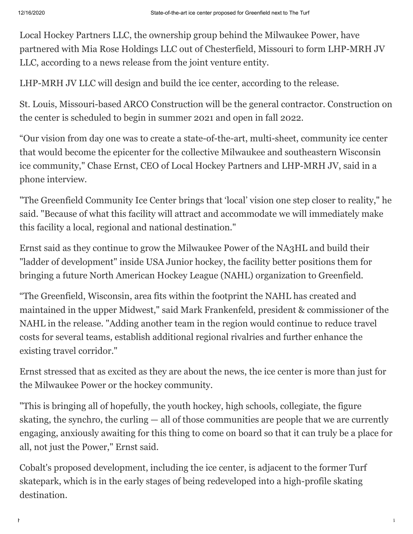Local Hockey Partners LLC, the ownership group behind the Milwaukee Power, have partnered with Mia Rose Holdings LLC out of Chesterfield, Missouri to form LHP-MRH JV LLC, according to a news release from the joint venture entity.

LHP-MRH JV LLC will design and build the ice center, according to the release.

St. Louis, Missouri-based ARCO Construction will be the general contractor. Construction on the center is scheduled to begin in summer 2021 and open in fall 2022.

"Our vision from day one was to create a state-of-the-art, multi-sheet, community ice center that would become the epicenter for the collective Milwaukee and southeastern Wisconsin ice community," Chase Ernst, CEO of Local Hockey Partners and LHP-MRH JV, said in a phone interview.

"The Greenfield Community Ice Center brings that 'local' vision one step closer to reality," he said. "Because of what this facility will attract and accommodate we will immediately make this facility a local, regional and national destination."

Ernst said as they continue to grow the Milwaukee Power of the NA3HL and build their "ladder of development" inside USA Junior hockey, the facility better positions them for bringing a future North American Hockey League (NAHL) organization to Greenfield.

"The Greenfield, Wisconsin, area fits within the footprint the NAHL has created and maintained in the upper Midwest," said Mark Frankenfeld, president & commissioner of the NAHL in the release. "Adding another team in the region would continue to reduce travel costs for several teams, establish additional regional rivalries and further enhance the existing travel corridor."

Ernst stressed that as excited as they are about the news, the ice center is more than just for the Milwaukee Power or the hockey community.

"This is bringing all of hopefully, the youth hockey, high schools, collegiate, the figure skating, the synchro, the curling — all of those communities are people that we are currently engaging, anxiously awaiting for this thing to come on board so that it can truly be a place for all, not just the Power," Ernst said.

Cobalt's proposed development, including the ice center, is adjacent to the former Turf [skatepark, which is in the early stages of being redeveloped into a high-profile skating](https://www.jsonline.com/story/communities/southwest/news/greenfield/2020/02/28/turf-milwaukee-skaters-offer-design-ideas-new-skatepark/4858651002/) destination.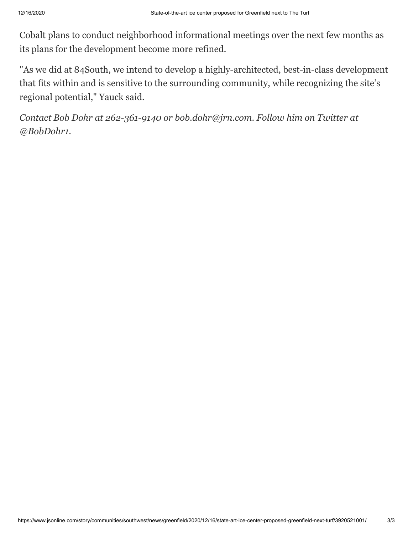Cobalt plans to conduct neighborhood informational meetings over the next few months as its plans for the development become more refined.

"As we did at 84South, we intend to develop a highly-architected, best-in-class development that fits within and is sensitive to the surrounding community, while recognizing the site's regional potential," Yauck said.

*Contact Bob Dohr at 262-361-9140 or [bob.dohr@jrn.com](mailto:bob.dohr@jrn.com). Follow him on Twitter at [@BobDohr1](https://twitter.com/BobDohr1).*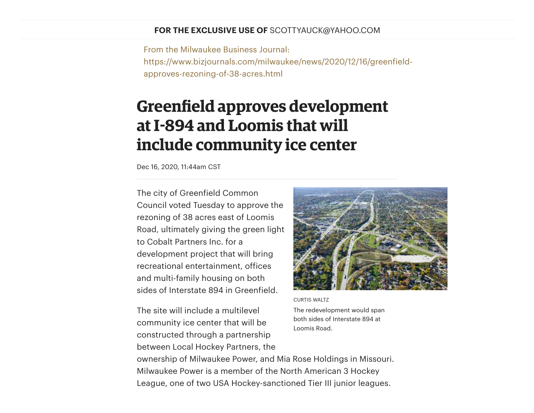#### **FOR THE EXCLUSIVE USE OF** SCOTTYAUCK@YAHOO.COM

From the Milwaukee Business Journal: https://www.bizjournals.com/milwaukee/news/2020/12/16/greenfieldapproves-rezoning-of-38-acres.html

### **Greenfield approves development atI894 and Loomis that will include community ice center**

Dec 16, 2020, 11:44am CST

The city of Greenfield Common Council voted Tuesday to approve the rezoning of 38 acres east of Loomis Road, ultimately giving the green light to Cobalt Partners Inc. for a development project that will bring recreational entertainment, offices and multi-family housing on both sides of Interstate 894 in Greenfield.

The site will include a multilevel community ice center that will be constructed through a partnership between Local Hockey Partners, the



CURTIS WALTZ The redevelopment would span both sides of Interstate 894 at Loomis Road.

ownership of Milwaukee Power, and Mia Rose Holdings in Missouri. Milwaukee Power is a member of the North American 3 Hockey League, one of two USA Hockey-sanctioned Tier III junior leagues.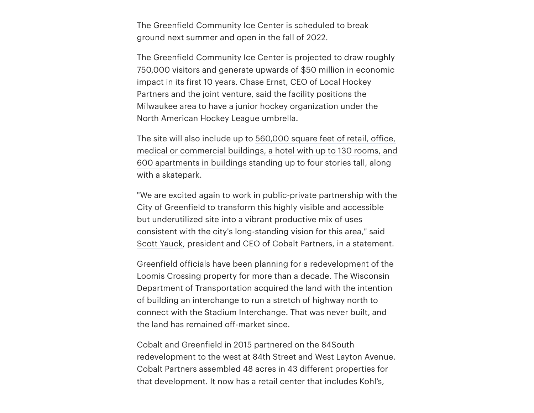The Greenfield Community Ice Center is scheduled to break ground next summer and open in the fall of 2022.

The Greenfield Community Ice Center is projected to draw roughly 750,000 visitors and generate upwards of \$50 million in economic impact in its first 10 years. [Chase](https://www.bizjournals.com/milwaukee/search/results?q=Chase%20Ernst) Ernst, CEO of Local Hockey Partners and the joint venture, said the facility positions the Milwaukee area to have a junior hockey organization under the North American Hockey League umbrella.

The site will also include up to 560,000 square feet of retail, office, medical or [commercial](https://www.bizjournals.com/milwaukee/news/2020/11/11/cobalt-pursues-hotel-big-entertainment-user.html) buildings, a hotel with up to 130 rooms, and 600 apartments in buildings standing up to four stories tall, along with a skatepark.

"We are excited again to work in public-private partnership with the City of Greenfield to transform this highly visible and accessible but underutilized site into a vibrant productive mix of uses consistent with the city's long-standing vision for this area," said Scott [Yauck,](https://www.bizjournals.com/milwaukee/search/results?q=Scott%20Yauck) president and CEO of Cobalt Partners, in a statement.

Greenfield officials have been planning for a redevelopment of the Loomis Crossing property for more than a decade. The Wisconsin Department of Transportation acquired the land with the intention of building an interchange to run a stretch of highway north to connect with the Stadium Interchange. That was never built, and the land has remained off-market since.

Cobalt and Greenfield in 2015 partnered on the 84South redevelopment to the west at 84th Street and West Layton Avenue. Cobalt Partners assembled 48 acres in 43 different properties for that development. It now has a retail center that includes Kohl's,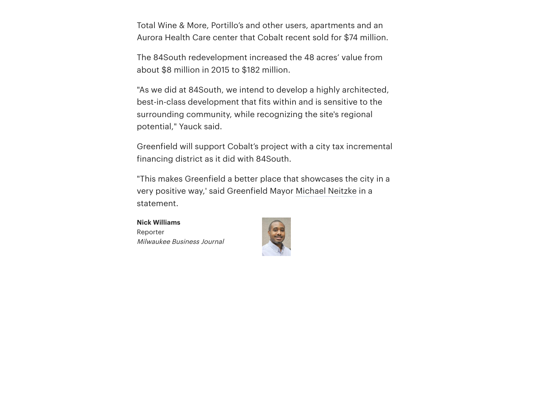Total Wine & More, Portillo's and other users, apartments and an Aurora Health Care center that Cobalt recent sold for \$74 million.

The 84South redevelopment increased the 48 acres' value from about \$8 million in 2015 to \$182 million.

"As we did at 84South, we intend to develop a highly architected, best-in-class development that fits within and is sensitive to the surrounding community, while recognizing the site's regional potential," Yauck said.

Greenfield will support Cobalt's project with a city tax incremental financing district as it did with 84South.

"This makes Greenfield a better place that showcases the city in a very positive way,' said Greenfield Mayor [Michael](https://www.bizjournals.com/milwaukee/search/results?q=Michael%20Neitzke) Neitzke in a statement.

**Nick Williams** Reporter Milwaukee Business Journal

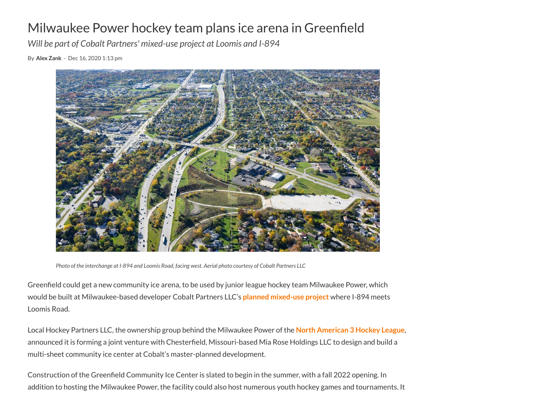### Milwaukee Power hockey team plans ice arena in Greenfield

*Will be part of Cobalt Partners' mixed-use project at Loomis and I-894*

By **Alex [Zank](https://biztimes.com/author/azank/)** - Dec 16, 2020 1:13 pm



Photo of the interchange at I-894 and Loomis Road, facing west. Aerial photo courtesy of Cobalt Partners LLC

Greenfield could get a new community ice arena, to be used by junior league hockey team Milwaukee Power, which would be built at Milwaukee-based developer Cobalt Partners LLC's **planned [mixed-use](https://biztimes.com/cobalt-partners-plans-massive-mixed-use-development-at-i-894-and-loomis/) project** where I-894 meets Loomis Road.

Local Hockey Partners LLC, the ownership group behind the Milwaukee Power of the **North [American](https://biztimes.com/cobalt-partners-plans-massive-mixed-use-development-at-i-894-and-loomis/) 3 Hockey League**, announced it is forming a joint venture with Chesterfield, Missouri-based Mia Rose Holdings LLC to design and build a multi-sheet community ice center at Cobalt's master-planned development.

Construction of the Greenfield Community Ice Center is slated to begin in the summer, with a fall 2022 opening. In addition to hosting the Milwaukee Power, the facility could also host numerous youth hockey games and tournaments. It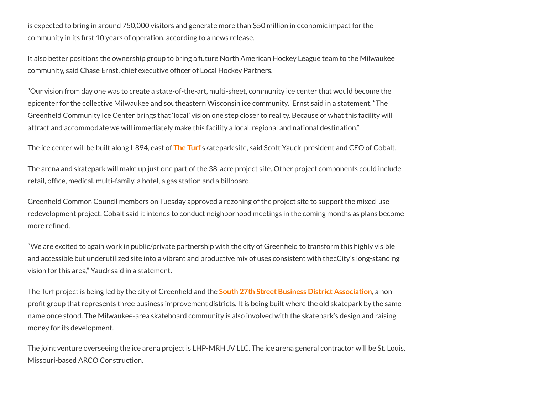is expected to bring in around 750,000 visitors and generate more than \$50 million in economic impact for the community in its first 10 years of operation, according to a news release.

It also better positions the ownership group to bring a future North American Hockey League team to the Milwaukee community, said Chase Ernst, chief executive officer of Local Hockey Partners.

"Our vision from day one was to create a state-of-the-art, multi-sheet, community ice center that would become the epicenter for the collective Milwaukee and southeastern Wisconsin ice community," Ernst said in a statement. "The Greenfield Community Ice Center brings that 'local' vision one step closer to reality. Because of what this facility will attract and accommodate we will immediately make this facility a local, regional and national destination."

The ice center will be built along I-894, east of **The [Turf](https://www.theturf.org/)** skatepark site, said Scott Yauck, president and CEO of Cobalt.

The arena and skatepark will make up just one part of the 38-acre project site. Other project components could include retail, office, medical, multi-family, a hotel, a gas station and a billboard.

Greenfield Common Council members on Tuesday approved a rezoning of the project site to support the mixed-use redevelopment project. Cobalt said it intends to conduct neighborhood meetings in the coming months as plans become more refined.

"We are excited to again work in public/private partnership with the city of Greenfield to transform this highly visible and accessible but underutilized site into a vibrant and productive mix of uses consistent with thecCity's long-standing vision for this area," Yauck said in a statement.

The Turf project is being led by the city of Greenfield and the **South 27th Street Business [District Association](https://hh41.org/)**, a nonprofit group that represents three business improvement districts. It is being built where the old skatepark by the same name once stood. The Milwaukee-area skateboard community is also involved with the skatepark's design and raising money for its development.

The joint venture overseeing the ice arena project is LHP-MRH JV LLC. The ice arena general contractor will be St. Louis, Missouri-based ARCO Construction.